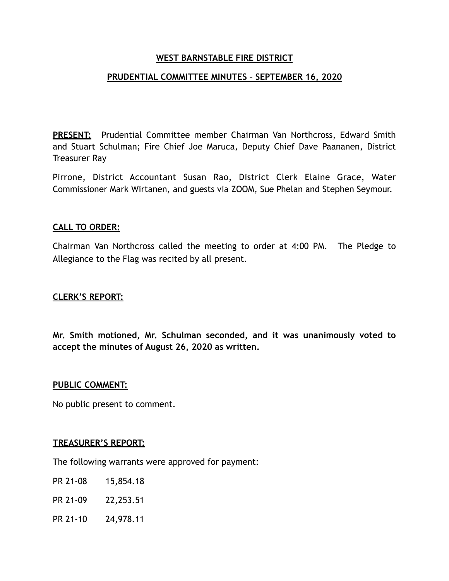### **WEST BARNSTABLE FIRE DISTRICT**

## **PRUDENTIAL COMMITTEE MINUTES – SEPTEMBER 16, 2020**

**PRESENT:** Prudential Committee member Chairman Van Northcross, Edward Smith and Stuart Schulman; Fire Chief Joe Maruca, Deputy Chief Dave Paananen, District Treasurer Ray

Pirrone, District Accountant Susan Rao, District Clerk Elaine Grace, Water Commissioner Mark Wirtanen, and guests via ZOOM, Sue Phelan and Stephen Seymour.

### **CALL TO ORDER:**

Chairman Van Northcross called the meeting to order at 4:00 PM. The Pledge to Allegiance to the Flag was recited by all present.

### **CLERK'S REPORT:**

**Mr. Smith motioned, Mr. Schulman seconded, and it was unanimously voted to accept the minutes of August 26, 2020 as written.** 

#### **PUBLIC COMMENT:**

No public present to comment.

### **TREASURER'S REPORT:**

The following warrants were approved for payment:

- PR 21-08 15,854.18
- PR 21-09 22,253.51
- PR 21-10 24,978.11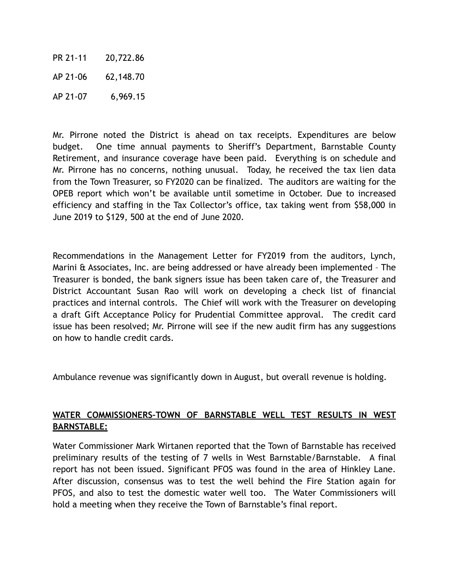PR 21-11 20,722.86 AP 21-06 62,148.70 AP 21-07 6,969.15

Mr. Pirrone noted the District is ahead on tax receipts. Expenditures are below budget. One time annual payments to Sheriff's Department, Barnstable County Retirement, and insurance coverage have been paid. Everything is on schedule and Mr. Pirrone has no concerns, nothing unusual. Today, he received the tax lien data from the Town Treasurer, so FY2020 can be finalized. The auditors are waiting for the OPEB report which won't be available until sometime in October. Due to increased efficiency and staffing in the Tax Collector's office, tax taking went from \$58,000 in June 2019 to \$129, 500 at the end of June 2020.

Recommendations in the Management Letter for FY2019 from the auditors, Lynch, Marini & Associates, Inc. are being addressed or have already been implemented – The Treasurer is bonded, the bank signers issue has been taken care of, the Treasurer and District Accountant Susan Rao will work on developing a check list of financial practices and internal controls. The Chief will work with the Treasurer on developing a draft Gift Acceptance Policy for Prudential Committee approval. The credit card issue has been resolved; Mr. Pirrone will see if the new audit firm has any suggestions on how to handle credit cards.

Ambulance revenue was significantly down in August, but overall revenue is holding.

# **WATER COMMISSIONERS–TOWN OF BARNSTABLE WELL TEST RESULTS IN WEST BARNSTABLE:**

Water Commissioner Mark Wirtanen reported that the Town of Barnstable has received preliminary results of the testing of 7 wells in West Barnstable/Barnstable. A final report has not been issued. Significant PFOS was found in the area of Hinkley Lane. After discussion, consensus was to test the well behind the Fire Station again for PFOS, and also to test the domestic water well too. The Water Commissioners will hold a meeting when they receive the Town of Barnstable's final report.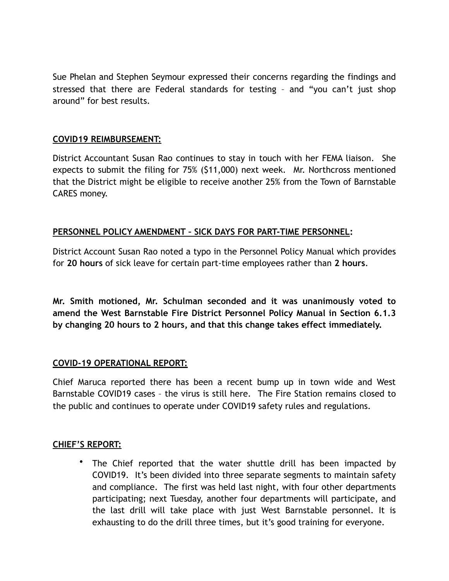Sue Phelan and Stephen Seymour expressed their concerns regarding the findings and stressed that there are Federal standards for testing – and "you can't just shop around" for best results.

## **COVID19 REIMBURSEMENT:**

District Accountant Susan Rao continues to stay in touch with her FEMA liaison. She expects to submit the filing for 75% (\$11,000) next week. Mr. Northcross mentioned that the District might be eligible to receive another 25% from the Town of Barnstable CARES money.

## **PERSONNEL POLICY AMENDMENT – SICK DAYS FOR PART-TIME PERSONNEL:**

District Account Susan Rao noted a typo in the Personnel Policy Manual which provides for **20 hours** of sick leave for certain part-time employees rather than **2 hours**.

**Mr. Smith motioned, Mr. Schulman seconded and it was unanimously voted to amend the West Barnstable Fire District Personnel Policy Manual in Section 6.1.3 by changing 20 hours to 2 hours, and that this change takes effect immediately.** 

## **COVID-19 OPERATIONAL REPORT:**

Chief Maruca reported there has been a recent bump up in town wide and West Barnstable COVID19 cases – the virus is still here. The Fire Station remains closed to the public and continues to operate under COVID19 safety rules and regulations.

### **CHIEF'S REPORT:**

• The Chief reported that the water shuttle drill has been impacted by COVID19. It's been divided into three separate segments to maintain safety and compliance. The first was held last night, with four other departments participating; next Tuesday, another four departments will participate, and the last drill will take place with just West Barnstable personnel. It is exhausting to do the drill three times, but it's good training for everyone.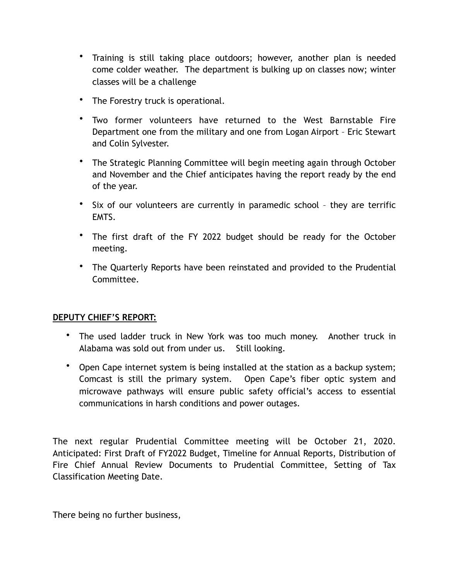- Training is still taking place outdoors; however, another plan is needed come colder weather. The department is bulking up on classes now; winter classes will be a challenge
- The Forestry truck is operational.
- Two former volunteers have returned to the West Barnstable Fire Department one from the military and one from Logan Airport – Eric Stewart and Colin Sylvester.
- The Strategic Planning Committee will begin meeting again through October and November and the Chief anticipates having the report ready by the end of the year.
- Six of our volunteers are currently in paramedic school they are terrific EMTS.
- The first draft of the FY 2022 budget should be ready for the October meeting.
- The Quarterly Reports have been reinstated and provided to the Prudential Committee.

# **DEPUTY CHIEF'S REPORT:**

- The used ladder truck in New York was too much money. Another truck in Alabama was sold out from under us. Still looking.
- Open Cape internet system is being installed at the station as a backup system; Comcast is still the primary system. Open Cape's fiber optic system and microwave pathways will ensure public safety official's access to essential communications in harsh conditions and power outages.

The next regular Prudential Committee meeting will be October 21, 2020. Anticipated: First Draft of FY2022 Budget, Timeline for Annual Reports, Distribution of Fire Chief Annual Review Documents to Prudential Committee, Setting of Tax Classification Meeting Date.

There being no further business,